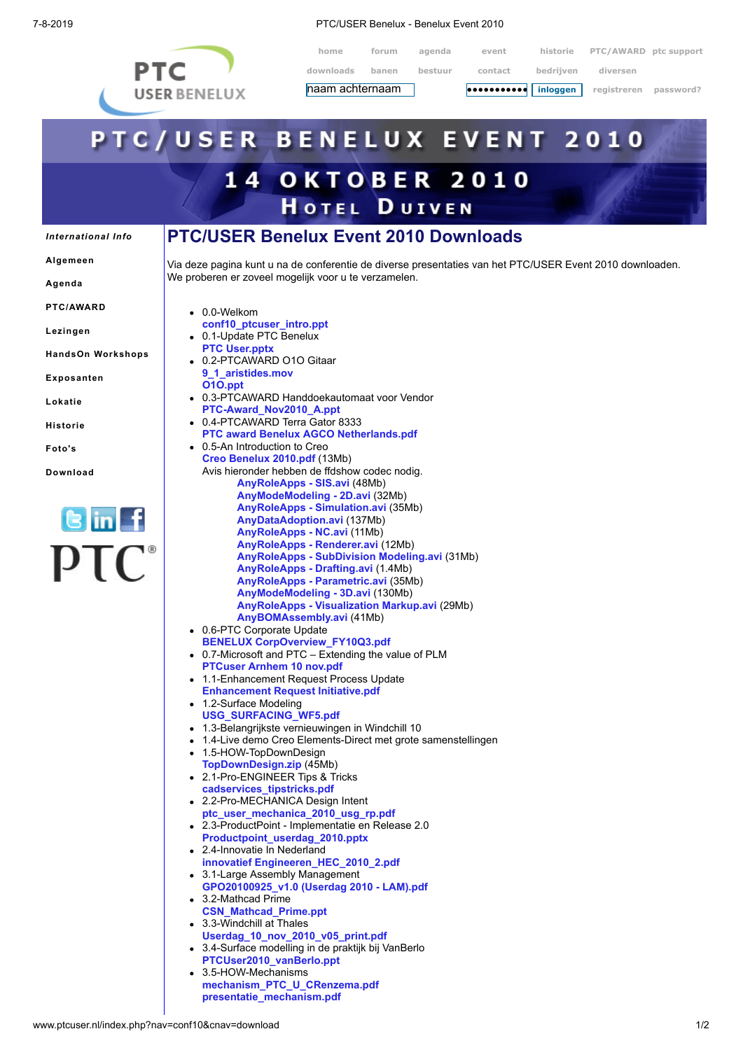

7-8-2019 PTC/USER Benelux - Benelux Event 2010

**home forum agenda event historie PTC/AWARD ptc support downloads banen bestuur contact bedrijven diversen**

## **haam achternaam voor die veroorden van die maar vegistreren** password? **•••••••••••**PTC/USER BENELUX EVENT 2010 **14 OKTOBER 2010 HOTEL DUIVEN PTC/USER Benelux Event 2010 Downloads** *[International](http://www.ptcuser.nl/index.php?nav=conf10&cnav=international) Info* **[Algemeen](http://www.ptcuser.nl/index.php?nav=conf10&cnav=algemeen)** Via deze pagina kunt u na de conferentie de diverse presentaties van het PTC/USER Event 2010 downloaden. We proberen er zoveel mogelijk voor u te verzamelen. **[Agenda](http://www.ptcuser.nl/index.php?nav=conf10&cnav=agenda) [PTC/AWARD](http://www.ptcuser.nl/index.php?nav=conf10&cnav=award)** 0.0-Welkom **[conf10\\_ptcuser\\_intro.ppt](http://www.ptcuser.nl/conf_10/presentations/0.0-Welkom/conf10_ptcuser_intro.ppt) [Lezingen](http://www.ptcuser.nl/index.php?nav=conf10&cnav=lezingen)** 0.1-Update PTC Benelux **[PTC User.pptx](http://www.ptcuser.nl/conf_10/presentations/0.1-Update%20PTC%20Benelux/PTC%20User.pptx) HandsOn [Workshops](http://www.ptcuser.nl/index.php?nav=conf10&cnav=how)** 0.2-PTCAWARD O1O Gitaar **[9\\_1\\_aristides.mov](http://www.youtube.com/user/AristidesInstruments) [Exposanten](http://www.ptcuser.nl/index.php?nav=conf10&cnav=exposanten) [O1O.ppt](http://www.ptcuser.nl/conf_10/presentations/0.2-PTCAWARD%20O1O%20Gitaar/O1O.ppt)** 0.3-PTCAWARD Handdoekautomaat voor Vendor **[Lokatie](http://www.ptcuser.nl/index.php?nav=conf10&cnav=lokatie) [PTC-Award\\_Nov2010\\_A.ppt](http://www.ptcuser.nl/conf_10/presentations/0.3-PTCAWARD%20Handdoekautomaat%20voor%20Vendor/PTC-Award_Nov2010_A.ppt)** 0.4-PTCAWARD Terra Gator 8333 **[Historie](http://www.ptcuser.nl/index.php?nav=conf10&cnav=historie) [PTC award Benelux AGCO Netherlands.pdf](http://www.ptcuser.nl/conf_10/presentations/0.4-PTCAWARD%20Terra%20Gator%208333/PTC%20award%20Benelux%20AGCO%20Netherlands.pdf)** 0.5-An Introduction to Creo **[Foto's](http://www.ptcuser.nl/index.php?nav=conf10&cnav=fotos) [Creo Benelux 2010.pdf](http://www.ptcuser.nl/conf_10/presentations/0.5-An%20Introduction%20to%20Creo/Creo%20Benelux%202010.pdf)** (13Mb) Avis hieronder hebben de ffdshow codec nodig. **[Download](http://www.ptcuser.nl/index.php?nav=conf10&cnav=download) [AnyRoleApps - SIS.avi](http://www.ptcuser.nl/conf_10/presentations/0.5-An%20Introduction%20to%20Creo/AnyRoleApps%20-%20SIS.avi)** (48Mb) **[AnyModeModeling - 2D.avi](http://www.ptcuser.nl/conf_10/presentations/0.5-An%20Introduction%20to%20Creo/AnyModeModeling%20-%202D.avi)** (32Mb) **[AnyRoleApps - Simulation.avi](http://www.ptcuser.nl/conf_10/presentations/0.5-An%20Introduction%20to%20Creo/AnyRoleApps%20-%20Simulation.avi)** (35Mb) **[AnyDataAdoption.avi](http://www.ptcuser.nl/conf_10/presentations/0.5-An%20Introduction%20to%20Creo/AnyDataAdoption.avi)** (137Mb) **[AnyRoleApps - NC.avi](http://www.ptcuser.nl/conf_10/presentations/0.5-An%20Introduction%20to%20Creo/AnyRoleApps%20-%20NC.avi)** (11Mb) **[AnyRoleApps - Renderer.avi](http://www.ptcuser.nl/conf_10/presentations/0.5-An%20Introduction%20to%20Creo/AnyRoleApps%20-%20Renderer.avi)** (12Mb) **[AnyRoleApps - SubDivision Modeling.avi](http://www.ptcuser.nl/conf_10/presentations/0.5-An%20Introduction%20to%20Creo/AnyRoleApps%20-%20SubDivision%20Modeling.avi)** (31Mb) **[AnyRoleApps - Drafting.avi](http://www.ptcuser.nl/conf_10/presentations/0.5-An%20Introduction%20to%20Creo/AnyRoleApps%20-%20Drafting.avi)** (1.4Mb) **[AnyRoleApps - Parametric.avi](http://www.ptcuser.nl/conf_10/presentations/0.5-An%20Introduction%20to%20Creo/AnyRoleApps%20-%20Parametric.avi)** (35Mb) **[AnyModeModeling - 3D.avi](http://www.ptcuser.nl/conf_10/presentations/0.5-An%20Introduction%20to%20Creo/AnyModeModeling%20-%203D.avi)** (130Mb) **[AnyRoleApps - Visualization Markup.avi](http://www.ptcuser.nl/conf_10/presentations/0.5-An%20Introduction%20to%20Creo/AnyRoleApps%20-%20Visualization%20Markup.avi)** (29Mb)

- **[AnyBOMAssembly.avi](http://www.ptcuser.nl/conf_10/presentations/0.5-An%20Introduction%20to%20Creo/AnyBOMAssembly.avi)** (41Mb) 0.6-PTC Corporate Update
- **[BENELUX CorpOverview\\_FY10Q3.pdf](http://www.ptcuser.nl/conf_10/presentations/0.6-PTC%20Corporate%20Update/BENELUX%20CorpOverview_FY10Q3.pdf)** 0.7-Microsoft and PTC – Extending the value of PLM
- **[PTCuser Arnhem 10 nov.pdf](http://www.ptcuser.nl/conf_10/presentations/0.7-Microsoft%20and%20PTC%20-%20Extending%20the%20value%20of%20PLM/PTCuser%20Arnhem%2010%20nov.pdf)** 1.1-Enhancement Request Process Update
- **[Enhancement Request Initiative.pdf](http://www.ptcuser.nl/conf_10/presentations/1.1-Enhancement%20Request%20Process%20Update/Enhancement%20Request%20Initiative.pdf)** • 1.2-Surface Modeling
- **[USG\\_SURFACING\\_WF5.pdf](http://www.ptcuser.nl/conf_10/presentations/1.2-Surface%20Modeling/USG_SURFACING_WF5.pdf)**
- 1.3-Belangrijkste vernieuwingen in Windchill 10
- 1.4-Live demo Creo Elements-Direct met grote samenstellingen
	- 1.5-HOW-TopDownDesign
- **[TopDownDesign.zip](http://www.ptcuser.nl/conf_10/presentations/1.5-HOW-TopDownDesign/TopDownDesign.zip)** (45Mb) 2.1-Pro-ENGINEER Tips & Tricks
- 
- **[cadservices\\_tipstricks.pdf](http://www.ptcuser.nl/conf_10/presentations/2.1-Pro-ENGINEER%20Tips%20&%20Tricks/cadservices_tipstricks.pdf)** 2.2-Pro-MECHANICA Design Intent
- **[ptc\\_user\\_mechanica\\_2010\\_usg\\_rp.pdf](http://www.ptcuser.nl/conf_10/presentations/2.2-Pro-MECHANICA%20Design%20Intent/ptc_user_mechanica_2010_usg_rp.pdf)** 2.3-ProductPoint - Implementatie en Release 2.0
- **[Productpoint\\_userdag\\_2010.pptx](http://www.ptcuser.nl/conf_10/presentations/2.3-ProductPoint%20-%20Implementatie%20en%20Release%202.0/Productpoint_userdag_2010.pptx)** 2.4-Innovatie In Nederland
- **[innovatief Engineeren\\_HEC\\_2010\\_2.pdf](http://www.ptcuser.nl/conf_10/presentations/2.4-Innovatie%20In%20Nederland/innovatief%20Engineeren_HEC_2010_2.pdf)** 3.1-Large Assembly Management
- **[GPO20100925\\_v1.0 \(Userdag 2010 LAM\).pdf](http://www.ptcuser.nl/conf_10/presentations/3.1-Large%20Assembly%20Management/GPO20100925_v1.0%20(Userdag%202010%20-%20LAM).pdf)** 3.2-Mathcad Prime
- **[CSN\\_Mathcad\\_Prime.ppt](http://www.ptcuser.nl/conf_10/presentations/3.2-Mathcad%20Prime/CSN_Mathcad_Prime.ppt)**
- 3.3-Windchill at Thales
- **[Userdag\\_10\\_nov\\_2010\\_v05\\_print.pdf](http://www.ptcuser.nl/conf_10/presentations/3.3-Windchill%20at%20Thales/Userdag_10_nov_2010_v05_print.pdf)** 3.4-Surface modelling in de praktijk bij VanBerlo **[PTCUser2010\\_vanBerlo.ppt](http://www.ptcuser.nl/conf_10/presentations/3.4-Surface%20modelling%20in%20de%20praktijk%20bij%20VanBerlo/PTCUser2010_vanBerlo.ppt)**
- 3.5-HOW-Mechanisms **[mechanism\\_PTC\\_U\\_CRenzema.pdf](http://www.ptcuser.nl/conf_10/presentations/3.5-HOW-Mechanisms/mechanism_PTC_U_CRenzema.pdf) [presentatie\\_mechanism.pdf](http://www.ptcuser.nl/conf_10/presentations/3.5-HOW-Mechanisms/presentatie_mechanism.pdf)**